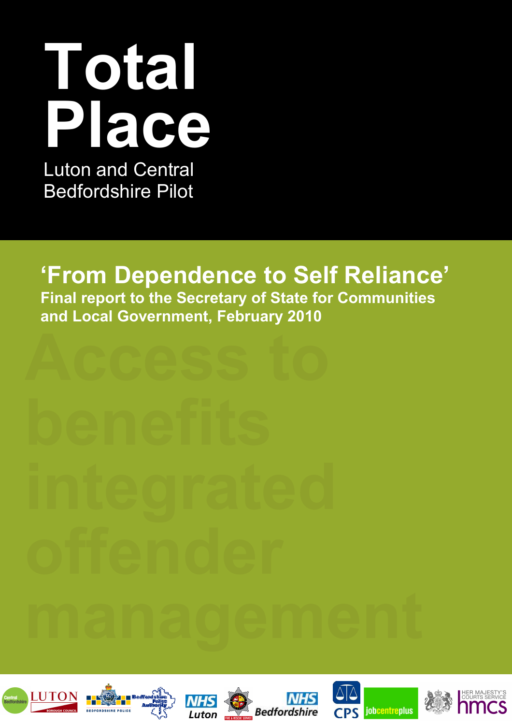# **Total Place**  Luton and Central

Bedfordshire Pilot

## **'From Dependence to Self Reliance'**

**Final report to the Secretary of State for Communities and Local Government, February 2010**











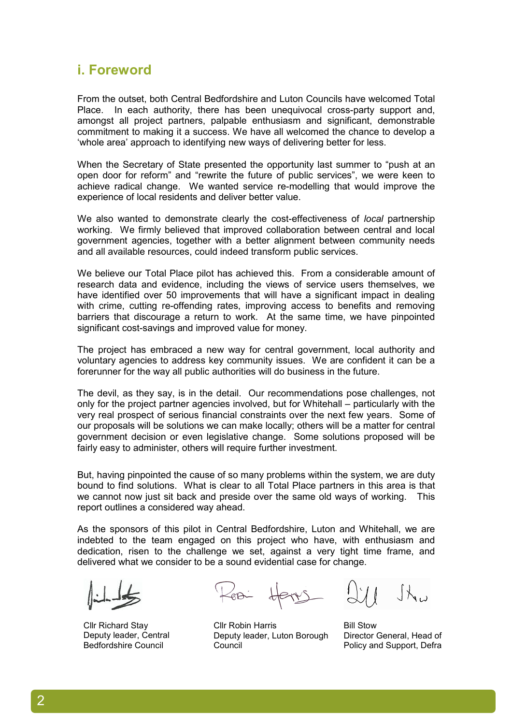### **i. Foreword**

From the outset, both Central Bedfordshire and Luton Councils have welcomed Total Place. In each authority, there has been unequivocal cross-party support and, amongst all project partners, palpable enthusiasm and significant, demonstrable commitment to making it a success. We have all welcomed the chance to develop a 'whole area' approach to identifying new ways of delivering better for less.

When the Secretary of State presented the opportunity last summer to "push at an open door for reform" and "rewrite the future of public services", we were keen to achieve radical change. We wanted service re-modelling that would improve the experience of local residents and deliver better value.

We also wanted to demonstrate clearly the cost-effectiveness of *local* partnership working. We firmly believed that improved collaboration between central and local government agencies, together with a better alignment between community needs and all available resources, could indeed transform public services.

We believe our Total Place pilot has achieved this. From a considerable amount of research data and evidence, including the views of service users themselves, we have identified over 50 improvements that will have a significant impact in dealing with crime, cutting re-offending rates, improving access to benefits and removing barriers that discourage a return to work. At the same time, we have pinpointed significant cost-savings and improved value for money.

The project has embraced a new way for central government, local authority and voluntary agencies to address key community issues. We are confident it can be a forerunner for the way all public authorities will do business in the future.

The devil, as they say, is in the detail. Our recommendations pose challenges, not only for the project partner agencies involved, but for Whitehall – particularly with the very real prospect of serious financial constraints over the next few years. Some of our proposals will be solutions we can make locally; others will be a matter for central government decision or even legislative change. Some solutions proposed will be fairly easy to administer, others will require further investment.

But, having pinpointed the cause of so many problems within the system, we are duty bound to find solutions. What is clear to all Total Place partners in this area is that we cannot now just sit back and preside over the same old ways of working. This report outlines a considered way ahead.

As the sponsors of this pilot in Central Bedfordshire, Luton and Whitehall, we are indebted to the team engaged on this project who have, with enthusiasm and dedication, risen to the challenge we set, against a very tight time frame, and delivered what we consider to be a sound evidential case for change.

Cllr Richard Stay Deputy leader, Central Bedfordshire Council

Cllr Robin Harris Deputy leader, Luton Borough Council

Bill Stow Director General, Head of Policy and Support, Defra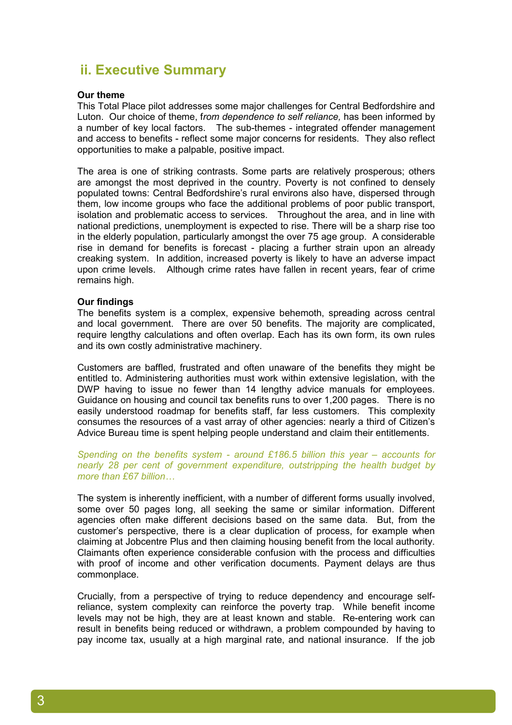### **ii. Executive Summary**

### **Our theme**

This Total Place pilot addresses some major challenges for Central Bedfordshire and Luton. Our choice of theme, f*rom dependence to self reliance,* has been informed by a number of key local factors. The sub-themes - integrated offender management and access to benefits - reflect some major concerns for residents. They also reflect opportunities to make a palpable, positive impact.

The area is one of striking contrasts. Some parts are relatively prosperous; others are amongst the most deprived in the country. Poverty is not confined to densely populated towns: Central Bedfordshire's rural environs also have, dispersed through them, low income groups who face the additional problems of poor public transport, isolation and problematic access to services. Throughout the area, and in line with national predictions, unemployment is expected to rise. There will be a sharp rise too in the elderly population, particularly amongst the over 75 age group. A considerable rise in demand for benefits is forecast - placing a further strain upon an already creaking system. In addition, increased poverty is likely to have an adverse impact upon crime levels. Although crime rates have fallen in recent years, fear of crime remains high.

### **Our findings**

The benefits system is a complex, expensive behemoth, spreading across central and local government. There are over 50 benefits. The majority are complicated, require lengthy calculations and often overlap. Each has its own form, its own rules and its own costly administrative machinery.

Customers are baffled, frustrated and often unaware of the benefits they might be entitled to. Administering authorities must work within extensive legislation, with the DWP having to issue no fewer than 14 lengthy advice manuals for employees. Guidance on housing and council tax benefits runs to over 1,200 pages. There is no easily understood roadmap for benefits staff, far less customers. This complexity consumes the resources of a vast array of other agencies: nearly a third of Citizen's Advice Bureau time is spent helping people understand and claim their entitlements.

*Spending on the benefits system - around £186.5 billion this year – accounts for nearly 28 per cent of government expenditure, outstripping the health budget by more than £67 billion…* 

The system is inherently inefficient, with a number of different forms usually involved, some over 50 pages long, all seeking the same or similar information. Different agencies often make different decisions based on the same data. But, from the customer's perspective, there is a clear duplication of process, for example when claiming at Jobcentre Plus and then claiming housing benefit from the local authority. Claimants often experience considerable confusion with the process and difficulties with proof of income and other verification documents. Payment delays are thus commonplace.

Crucially, from a perspective of trying to reduce dependency and encourage selfreliance, system complexity can reinforce the poverty trap. While benefit income levels may not be high, they are at least known and stable. Re-entering work can result in benefits being reduced or withdrawn, a problem compounded by having to pay income tax, usually at a high marginal rate, and national insurance. If the job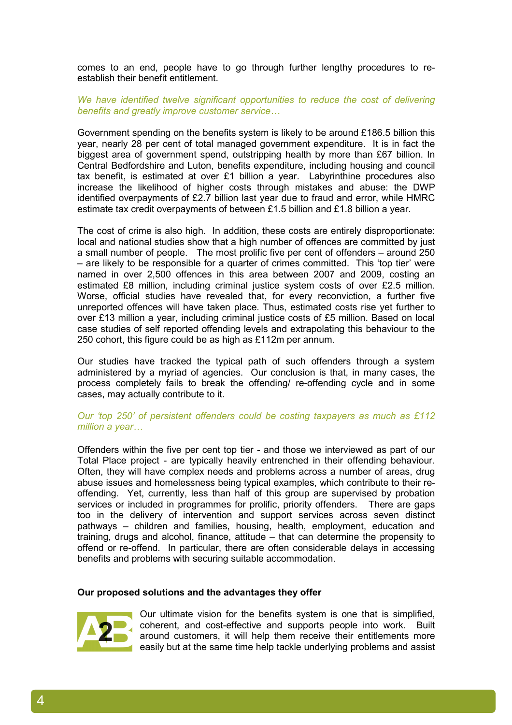comes to an end, people have to go through further lengthy procedures to reestablish their benefit entitlement.

### We have identified twelve significant opportunities to reduce the cost of delivering *benefits and greatly improve customer service…*

Government spending on the benefits system is likely to be around £186.5 billion this year, nearly 28 per cent of total managed government expenditure. It is in fact the biggest area of government spend, outstripping health by more than £67 billion. In Central Bedfordshire and Luton, benefits expenditure, including housing and council tax benefit, is estimated at over £1 billion a year. Labyrinthine procedures also increase the likelihood of higher costs through mistakes and abuse: the DWP identified overpayments of £2.7 billion last year due to fraud and error, while HMRC estimate tax credit overpayments of between £1.5 billion and £1.8 billion a year.

The cost of crime is also high. In addition, these costs are entirely disproportionate: local and national studies show that a high number of offences are committed by just a small number of people. The most prolific five per cent of offenders – around 250 – are likely to be responsible for a quarter of crimes committed. This 'top tier' were named in over 2,500 offences in this area between 2007 and 2009, costing an estimated £8 million, including criminal justice system costs of over £2.5 million. Worse, official studies have revealed that, for every reconviction, a further five unreported offences will have taken place. Thus, estimated costs rise yet further to over £13 million a year, including criminal justice costs of £5 million. Based on local case studies of self reported offending levels and extrapolating this behaviour to the 250 cohort, this figure could be as high as £112m per annum.

Our studies have tracked the typical path of such offenders through a system administered by a myriad of agencies. Our conclusion is that, in many cases, the process completely fails to break the offending/ re-offending cycle and in some cases, may actually contribute to it.

### *Our 'top 250' of persistent offenders could be costing taxpayers as much as £112 million a year…*

Offenders within the five per cent top tier - and those we interviewed as part of our Total Place project - are typically heavily entrenched in their offending behaviour. Often, they will have complex needs and problems across a number of areas, drug abuse issues and homelessness being typical examples, which contribute to their reoffending. Yet, currently, less than half of this group are supervised by probation services or included in programmes for prolific, priority offenders. There are gaps too in the delivery of intervention and support services across seven distinct pathways – children and families, housing, health, employment, education and training, drugs and alcohol, finance, attitude – that can determine the propensity to offend or re-offend. In particular, there are often considerable delays in accessing benefits and problems with securing suitable accommodation.

### **Our proposed solutions and the advantages they offer**



4

Our ultimate vision for the benefits system is one that is simplified, coherent, and cost-effective and supports people into work. Built around customers, it will help them receive their entitlements more easily but at the same time help tackle underlying problems and assist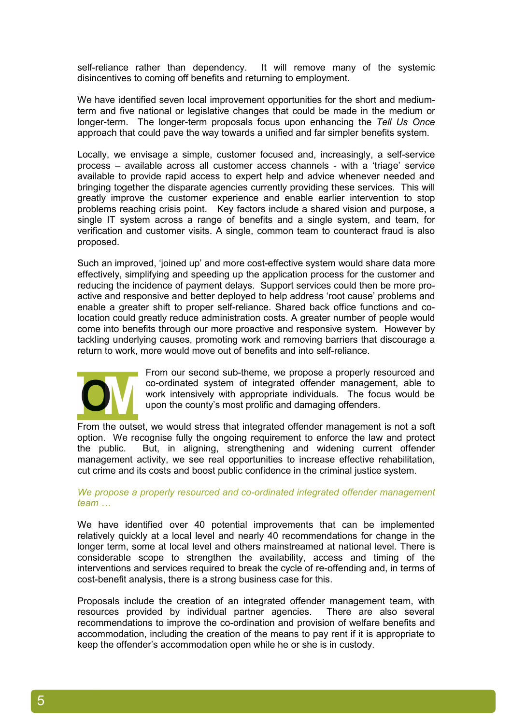self-reliance rather than dependency. It will remove many of the systemic disincentives to coming off benefits and returning to employment.

We have identified seven local improvement opportunities for the short and mediumterm and five national or legislative changes that could be made in the medium or longer-term. The longer-term proposals focus upon enhancing the *Tell Us Once*  approach that could pave the way towards a unified and far simpler benefits system.

Locally, we envisage a simple, customer focused and, increasingly, a self-service process – available across all customer access channels - with a 'triage' service available to provide rapid access to expert help and advice whenever needed and bringing together the disparate agencies currently providing these services. This will greatly improve the customer experience and enable earlier intervention to stop problems reaching crisis point. Key factors include a shared vision and purpose, a single IT system across a range of benefits and a single system, and team, for verification and customer visits. A single, common team to counteract fraud is also proposed.

Such an improved, 'joined up' and more cost-effective system would share data more effectively, simplifying and speeding up the application process for the customer and reducing the incidence of payment delays. Support services could then be more proactive and responsive and better deployed to help address 'root cause' problems and enable a greater shift to proper self-reliance. Shared back office functions and colocation could greatly reduce administration costs. A greater number of people would come into benefits through our more proactive and responsive system. However by tackling underlying causes, promoting work and removing barriers that discourage a return to work, more would move out of benefits and into self-reliance.



From our second sub-theme, we propose a properly resourced and co-ordinated system of integrated offender management, able to work intensively with appropriate individuals. The focus would be upon the county's most prolific and damaging offenders.

From the outset, we would stress that integrated offender management is not a soft option. We recognise fully the ongoing requirement to enforce the law and protect the public. But, in aligning, strengthening and widening current offender management activity, we see real opportunities to increase effective rehabilitation, cut crime and its costs and boost public confidence in the criminal justice system.

### *We propose a properly resourced and co-ordinated integrated offender management team …*

We have identified over 40 potential improvements that can be implemented relatively quickly at a local level and nearly 40 recommendations for change in the longer term, some at local level and others mainstreamed at national level. There is considerable scope to strengthen the availability, access and timing of the interventions and services required to break the cycle of re-offending and, in terms of cost-benefit analysis, there is a strong business case for this.

Proposals include the creation of an integrated offender management team, with resources provided by individual partner agencies. There are also several recommendations to improve the co-ordination and provision of welfare benefits and accommodation, including the creation of the means to pay rent if it is appropriate to keep the offender's accommodation open while he or she is in custody.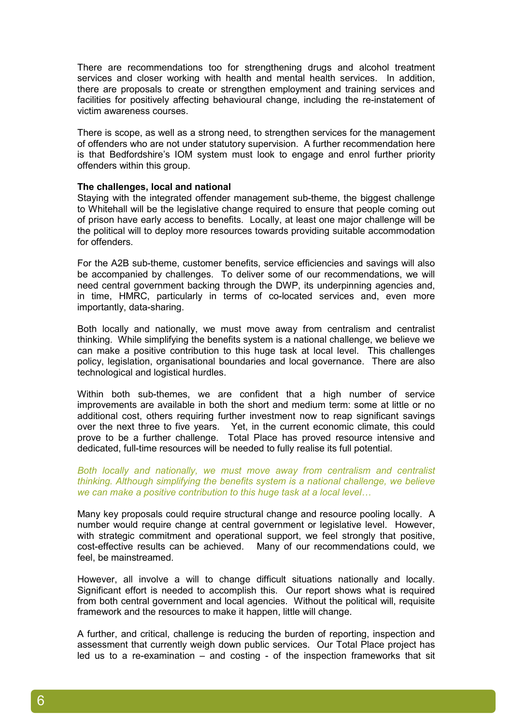There are recommendations too for strengthening drugs and alcohol treatment services and closer working with health and mental health services. In addition, there are proposals to create or strengthen employment and training services and facilities for positively affecting behavioural change, including the re-instatement of victim awareness courses.

There is scope, as well as a strong need, to strengthen services for the management of offenders who are not under statutory supervision. A further recommendation here is that Bedfordshire's IOM system must look to engage and enrol further priority offenders within this group.

### **The challenges, local and national**

Staying with the integrated offender management sub-theme, the biggest challenge to Whitehall will be the legislative change required to ensure that people coming out of prison have early access to benefits. Locally, at least one major challenge will be the political will to deploy more resources towards providing suitable accommodation for offenders.

For the A2B sub-theme, customer benefits, service efficiencies and savings will also be accompanied by challenges. To deliver some of our recommendations, we will need central government backing through the DWP, its underpinning agencies and, in time, HMRC, particularly in terms of co-located services and, even more importantly, data-sharing.

Both locally and nationally, we must move away from centralism and centralist thinking. While simplifying the benefits system is a national challenge, we believe we can make a positive contribution to this huge task at local level. This challenges policy, legislation, organisational boundaries and local governance. There are also technological and logistical hurdles.

Within both sub-themes, we are confident that a high number of service improvements are available in both the short and medium term: some at little or no additional cost, others requiring further investment now to reap significant savings over the next three to five years. Yet, in the current economic climate, this could prove to be a further challenge. Total Place has proved resource intensive and dedicated, full-time resources will be needed to fully realise its full potential.

*Both locally and nationally, we must move away from centralism and centralist thinking. Although simplifying the benefits system is a national challenge, we believe we can make a positive contribution to this huge task at a local level…* 

Many key proposals could require structural change and resource pooling locally. A number would require change at central government or legislative level. However, with strategic commitment and operational support, we feel strongly that positive, cost-effective results can be achieved. Many of our recommendations could, we feel, be mainstreamed.

However, all involve a will to change difficult situations nationally and locally. Significant effort is needed to accomplish this. Our report shows what is required from both central government and local agencies. Without the political will, requisite framework and the resources to make it happen, little will change.

A further, and critical, challenge is reducing the burden of reporting, inspection and assessment that currently weigh down public services. Our Total Place project has led us to a re-examination – and costing - of the inspection frameworks that sit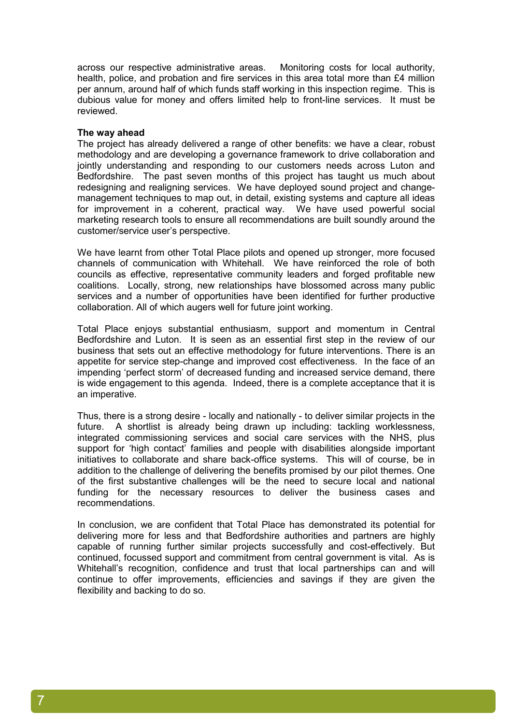across our respective administrative areas. Monitoring costs for local authority, health, police, and probation and fire services in this area total more than £4 million per annum, around half of which funds staff working in this inspection regime. This is dubious value for money and offers limited help to front-line services. It must be reviewed.

### **The way ahead**

The project has already delivered a range of other benefits: we have a clear, robust methodology and are developing a governance framework to drive collaboration and jointly understanding and responding to our customers needs across Luton and Bedfordshire. The past seven months of this project has taught us much about redesigning and realigning services. We have deployed sound project and changemanagement techniques to map out, in detail, existing systems and capture all ideas for improvement in a coherent, practical way. We have used powerful social marketing research tools to ensure all recommendations are built soundly around the customer/service user's perspective.

We have learnt from other Total Place pilots and opened up stronger, more focused channels of communication with Whitehall. We have reinforced the role of both councils as effective, representative community leaders and forged profitable new coalitions. Locally, strong, new relationships have blossomed across many public services and a number of opportunities have been identified for further productive collaboration. All of which augers well for future joint working.

Total Place enjoys substantial enthusiasm, support and momentum in Central Bedfordshire and Luton. It is seen as an essential first step in the review of our business that sets out an effective methodology for future interventions. There is an appetite for service step-change and improved cost effectiveness. In the face of an impending 'perfect storm' of decreased funding and increased service demand, there is wide engagement to this agenda. Indeed, there is a complete acceptance that it is an imperative.

Thus, there is a strong desire - locally and nationally - to deliver similar projects in the future. A shortlist is already being drawn up including: tackling worklessness, integrated commissioning services and social care services with the NHS, plus support for 'high contact' families and people with disabilities alongside important initiatives to collaborate and share back-office systems. This will of course, be in addition to the challenge of delivering the benefits promised by our pilot themes. One of the first substantive challenges will be the need to secure local and national funding for the necessary resources to deliver the business cases and recommendations.

In conclusion, we are confident that Total Place has demonstrated its potential for delivering more for less and that Bedfordshire authorities and partners are highly capable of running further similar projects successfully and cost-effectively. But continued, focussed support and commitment from central government is vital. As is Whitehall's recognition, confidence and trust that local partnerships can and will continue to offer improvements, efficiencies and savings if they are given the flexibility and backing to do so.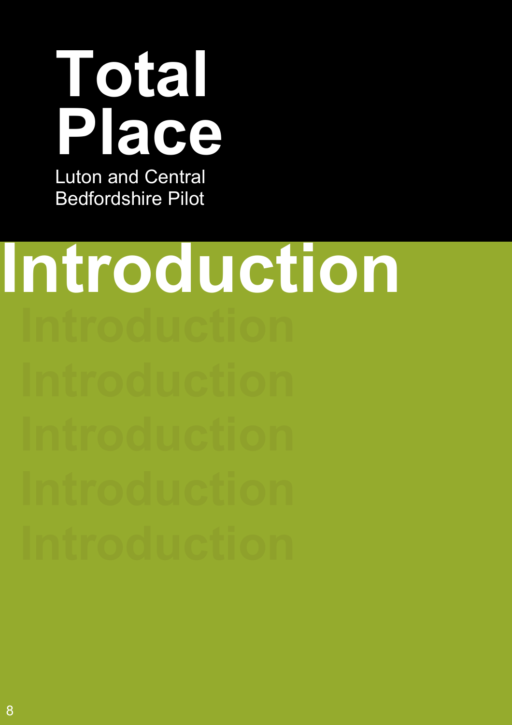

Luton and Central Bedfordshire Pilot

# **Introduction**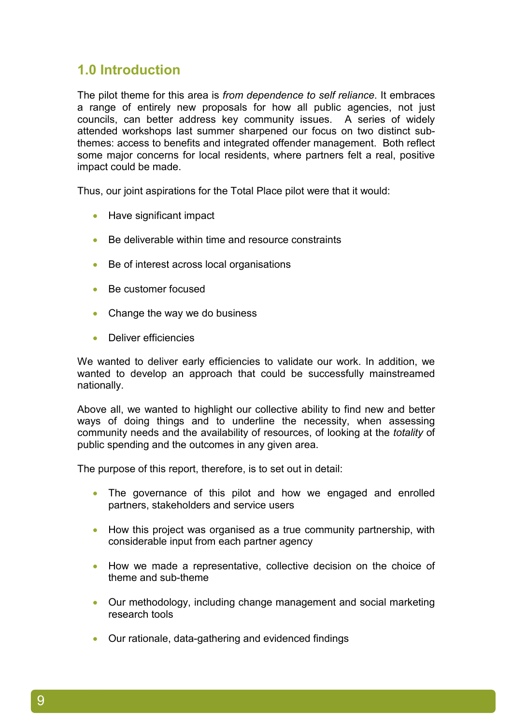### **1.0 Introduction**

The pilot theme for this area is *from dependence to self reliance*. It embraces a range of entirely new proposals for how all public agencies, not just councils, can better address key community issues. A series of widely attended workshops last summer sharpened our focus on two distinct subthemes: access to benefits and integrated offender management. Both reflect some major concerns for local residents, where partners felt a real, positive impact could be made.

Thus, our joint aspirations for the Total Place pilot were that it would:

- Have significant impact
- Be deliverable within time and resource constraints
- Be of interest across local organisations
- Be customer focused
- Change the way we do business
- Deliver efficiencies

We wanted to deliver early efficiencies to validate our work. In addition, we wanted to develop an approach that could be successfully mainstreamed nationally.

Above all, we wanted to highlight our collective ability to find new and better ways of doing things and to underline the necessity, when assessing community needs and the availability of resources, of looking at the *totality* of public spending and the outcomes in any given area.

The purpose of this report, therefore, is to set out in detail:

- The governance of this pilot and how we engaged and enrolled partners, stakeholders and service users
- How this project was organised as a true community partnership, with considerable input from each partner agency
- How we made a representative, collective decision on the choice of theme and sub-theme
- Our methodology, including change management and social marketing research tools
- Our rationale, data-gathering and evidenced findings